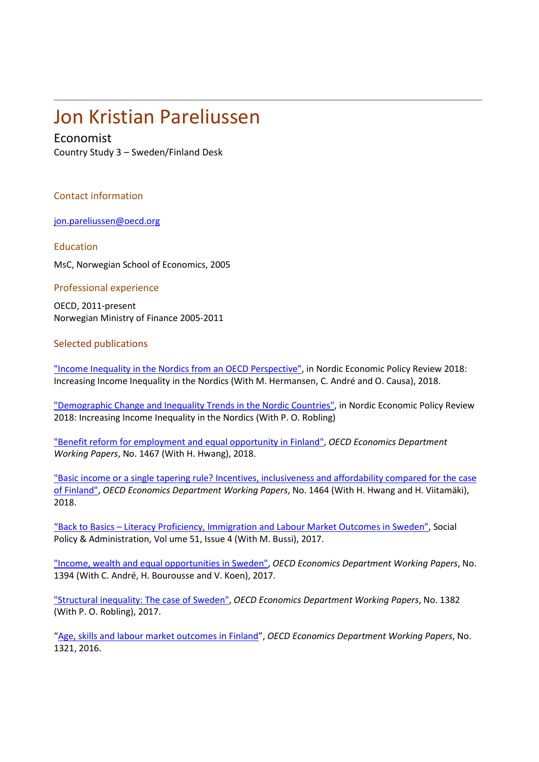# Jon Kristian Pareliussen

## Economist

Country Study 3 – Sweden/Finland Desk

Contact information

[jon.pareliussen@oecd.org](mailto:jon.pareliussen@oecd.org)

#### Education

MsC, Norwegian School of Economics, 2005

#### Professional experience

OECD, 2011-present Norwegian Ministry of Finance 2005-2011

### Selected publications

["Income Inequality in the Nordics from an OECD Perspective",](https://www.nordic-ilibrary.org/taxation/nordic-economic-policy-review-2018_e2e1c8ab-en) in Nordic Economic Policy Review 2018: Increasing Income Inequality in the Nordics (With M. Hermansen, C. André and O. Causa), 2018.

["Demographic Change and Inequality Trends in the Nordic Countries",](https://www.nordic-ilibrary.org/taxation/nordic-economic-policy-review-2018_285e0716-en) in Nordic Economic Policy Review 2018: Increasing Income Inequality in the Nordics (With P. O. Robling)

["Benefit reform for employment and equal opportunity in Finland",](https://www.oecd-ilibrary.org/education/benefit-reform-for-employment-and-equal-opportunity-in-finland_26e12903-en) *OECD Economics Department Working Papers*, No. 1467 (With H. Hwang), 2018.

["Basic income or a single tapering rule? Incentives, inclusiveness and affordability compared for the case](https://www.oecd-ilibrary.org/economics/basic-income-or-a-single-tapering-rule-incentives-inclusiveness-and-affordability-compared-for-the-case-of-finland_d8c0fbc4-en)  [of Finland",](https://www.oecd-ilibrary.org/economics/basic-income-or-a-single-tapering-rule-incentives-inclusiveness-and-affordability-compared-for-the-case-of-finland_d8c0fbc4-en) *OECD Economics Department Working Papers*, No. 1464 (With H. Hwang and H. Viitamäki), 2018.

"Back to Basics – [Literacy Proficiency, Immigration and Labour Market Outcomes in Sweden",](https://onlinelibrary.wiley.com/doi/abs/10.1111/spol.12319) Social Policy & Administration, Vol ume 51, Issue 4 (With M. Bussi), 2017.

["Income, wealth and equal opportunities in Sweden",](https://www.oecd-ilibrary.org/economics/income-wealth-and-equal-opportunities-in-sweden_e900be20-en) *OECD Economics Department Working Papers*, No. 1394 (With C. André, H. Bourousse and V. Koen), 2017.

["Structural inequality: The case of Sweden",](https://www.oecd-ilibrary.org/economics/structural-inequality_c0c7e531-en) *OECD Economics Department Working Papers*, No. 1382 (With P. O. Robling), 2017.

["Age, skills and labour market outcomes in Finland"](http://www.oecd-ilibrary.org/economics/age-skills-and-labour-market-outcomes-in-finland_5jlv23953gq1-en), *OECD Economics Department Working Papers*, No. 1321, 2016.